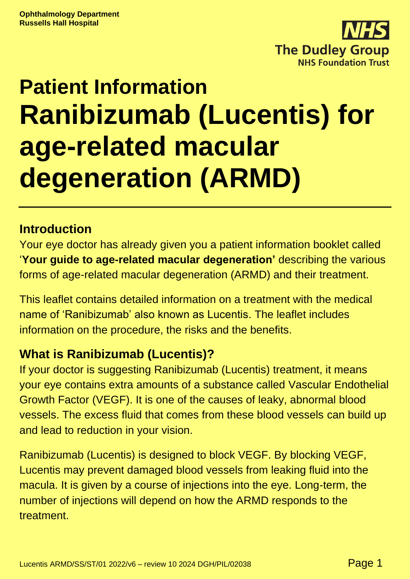

# **Patient Information Ranibizumab (Lucentis) for age-related macular degeneration (ARMD)**

## **Introduction**

Your eye doctor has already given you a patient information booklet called '**Your guide to age-related macular degeneration'** describing the various forms of age-related macular degeneration (ARMD) and their treatment.

This leaflet contains detailed information on a treatment with the medical name of 'Ranibizumab' also known as Lucentis. The leaflet includes information on the procedure, the risks and the benefits.

#### **What is Ranibizumab (Lucentis)?**

If your doctor is suggesting Ranibizumab (Lucentis) treatment, it means your eye contains extra amounts of a substance called Vascular Endothelial Growth Factor (VEGF). It is one of the causes of leaky, abnormal blood vessels. The excess fluid that comes from these blood vessels can build up and lead to reduction in your vision.

Ranibizumab (Lucentis) is designed to block VEGF. By blocking VEGF, Lucentis may prevent damaged blood vessels from leaking fluid into the macula. It is given by a course of injections into the eye. Long-term, the number of injections will depend on how the ARMD responds to the treatment.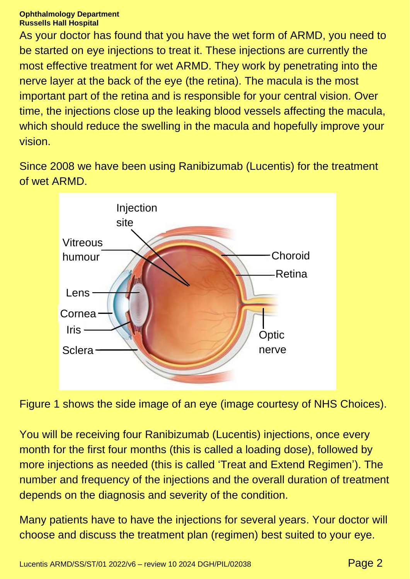#### **Ophthalmology Department Russells Hall Hospital**

As your doctor has found that you have the wet form of ARMD, you need to be started on eye injections to treat it. These injections are currently the most effective treatment for wet ARMD. They work by penetrating into the nerve layer at the back of the eye (the retina). The macula is the most important part of the retina and is responsible for your central vision. Over time, the injections close up the leaking blood vessels affecting the macula, which should reduce the swelling in the macula and hopefully improve your vision.

Since 2008 we have been using Ranibizumab (Lucentis) for the treatment of wet ARMD.



Figure 1 shows the side image of an eye (image courtesy of NHS Choices).

You will be receiving four Ranibizumab (Lucentis) injections, once every month for the first four months (this is called a loading dose), followed by more injections as needed (this is called 'Treat and Extend Regimen'). The number and frequency of the injections and the overall duration of treatment depends on the diagnosis and severity of the condition.

Many patients have to have the injections for several years. Your doctor will choose and discuss the treatment plan (regimen) best suited to your eye.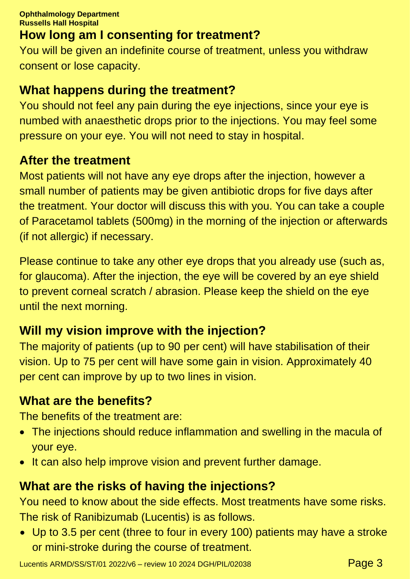# **How long am I consenting for treatment?**

You will be given an indefinite course of treatment, unless you withdraw consent or lose capacity.

#### **What happens during the treatment?**

You should not feel any pain during the eye injections, since your eye is numbed with anaesthetic drops prior to the injections. You may feel some pressure on your eye. You will not need to stay in hospital.

#### **After the treatment**

Most patients will not have any eye drops after the injection, however a small number of patients may be given antibiotic drops for five days after the treatment. Your doctor will discuss this with you. You can take a couple of Paracetamol tablets (500mg) in the morning of the injection or afterwards (if not allergic) if necessary.

Please continue to take any other eye drops that you already use (such as, for glaucoma). After the injection, the eye will be covered by an eye shield to prevent corneal scratch / abrasion. Please keep the shield on the eye until the next morning.

# **Will my vision improve with the injection?**

The majority of patients (up to 90 per cent) will have stabilisation of their vision. Up to 75 per cent will have some gain in vision. Approximately 40 per cent can improve by up to two lines in vision.

#### **What are the benefits?**

The benefits of the treatment are:

- The injections should reduce inflammation and swelling in the macula of your eye.
- It can also help improve vision and prevent further damage.

## **What are the risks of having the injections?**

You need to know about the side effects. Most treatments have some risks. The risk of Ranibizumab (Lucentis) is as follows.

• Up to 3.5 per cent (three to four in every 100) patients may have a stroke or mini-stroke during the course of treatment.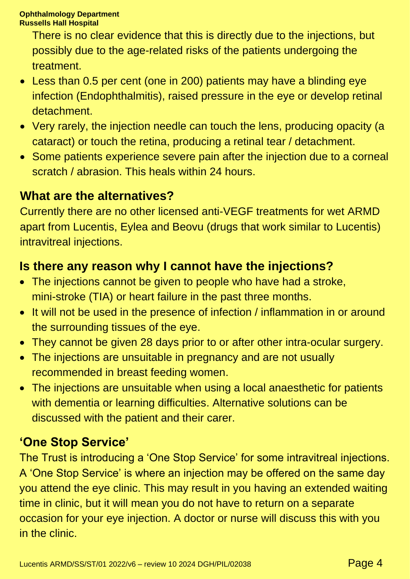There is no clear evidence that this is directly due to the injections, but possibly due to the age-related risks of the patients undergoing the treatment.

- Less than 0.5 per cent (one in 200) patients may have a blinding eye infection (Endophthalmitis), raised pressure in the eye or develop retinal detachment.
- Very rarely, the injection needle can touch the lens, producing opacity (a cataract) or touch the retina, producing a retinal tear / detachment.
- Some patients experience severe pain after the injection due to a corneal scratch / abrasion. This heals within 24 hours.

## **What are the alternatives?**

Currently there are no other licensed anti-VEGF treatments for wet ARMD apart from Lucentis, Eylea and Beovu (drugs that work similar to Lucentis) intravitreal injections.

# **Is there any reason why I cannot have the injections?**

- The injections cannot be given to people who have had a stroke, mini-stroke (TIA) or heart failure in the past three months.
- It will not be used in the presence of infection / inflammation in or around the surrounding tissues of the eye.
- They cannot be given 28 days prior to or after other intra-ocular surgery.
- The injections are unsuitable in pregnancy and are not usually recommended in breast feeding women.
- The injections are unsuitable when using a local anaesthetic for patients with dementia or learning difficulties. Alternative solutions can be discussed with the patient and their carer.

# **'One Stop Service'**

The Trust is introducing a 'One Stop Service' for some intravitreal injections. A 'One Stop Service' is where an injection may be offered on the same day you attend the eye clinic. This may result in you having an extended waiting time in clinic, but it will mean you do not have to return on a separate occasion for your eye injection. A doctor or nurse will discuss this with you in the clinic.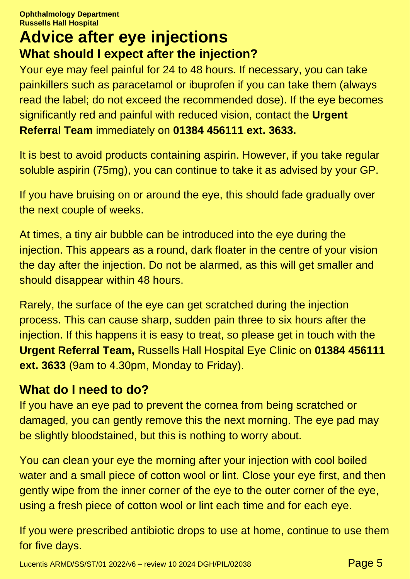# **Advice after eye injections What should I expect after the injection?**

Your eye may feel painful for 24 to 48 hours. If necessary, you can take painkillers such as paracetamol or ibuprofen if you can take them (always read the label; do not exceed the recommended dose). If the eye becomes significantly red and painful with reduced vision, contact the **Urgent Referral Team** immediately on **01384 456111 ext. 3633.**

It is best to avoid products containing aspirin. However, if you take regular soluble aspirin (75mg), you can continue to take it as advised by your GP.

If you have bruising on or around the eye, this should fade gradually over the next couple of weeks.

At times, a tiny air bubble can be introduced into the eye during the injection. This appears as a round, dark floater in the centre of your vision the day after the injection. Do not be alarmed, as this will get smaller and should disappear within 48 hours.

Rarely, the surface of the eye can get scratched during the injection process. This can cause sharp, sudden pain three to six hours after the injection. If this happens it is easy to treat, so please get in touch with the **Urgent Referral Team,** Russells Hall Hospital Eye Clinic on **01384 456111 ext. 3633** (9am to 4.30pm, Monday to Friday).

## **What do I need to do?**

If you have an eye pad to prevent the cornea from being scratched or damaged, you can gently remove this the next morning. The eye pad may be slightly bloodstained, but this is nothing to worry about.

You can clean your eye the morning after your injection with cool boiled water and a small piece of cotton wool or lint. Close your eye first, and then gently wipe from the inner corner of the eye to the outer corner of the eye, using a fresh piece of cotton wool or lint each time and for each eye.

If you were prescribed antibiotic drops to use at home, continue to use them for five days.

Lucentis ARMD/SS/ST/01 2022/v6 – review 10 2024 DGH/PIL/02038  $P$ age 5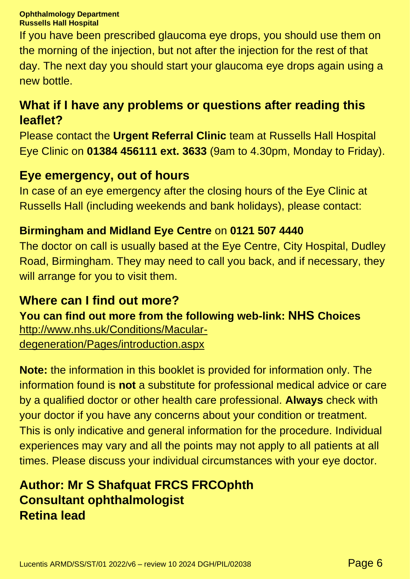#### **Ophthalmology Department Russells Hall Hospital**

If you have been prescribed glaucoma eye drops, you should use them on the morning of the injection, but not after the injection for the rest of that day. The next day you should start your glaucoma eye drops again using a new bottle.

## **What if I have any problems or questions after reading this leaflet?**

Please contact the **Urgent Referral Clinic** team at Russells Hall Hospital Eye Clinic on **01384 456111 ext. 3633** (9am to 4.30pm, Monday to Friday).

#### **Eye emergency, out of hours**

In case of an eye emergency after the closing hours of the Eye Clinic at Russells Hall (including weekends and bank holidays), please contact:

#### **Birmingham and Midland Eye Centre** on **0121 507 4440**

The doctor on call is usually based at the Eye Centre, City Hospital, Dudley Road, Birmingham. They may need to call you back, and if necessary, they will arrange for you to visit them.

#### **Where can I find out more?**

**You can find out more from the following web-link: NHS Choices** [http://www.nhs.uk/Conditions/Macular-](http://www.nhs.uk/Conditions/Macular-degeneration/Pages/introduction.aspx)

[degeneration/Pages/introduction.aspx](http://www.nhs.uk/Conditions/Macular-degeneration/Pages/introduction.aspx)

**Note:** the information in this booklet is provided for information only. The information found is **not** a substitute for professional medical advice or care by a qualified doctor or other health care professional. **Always** check with your doctor if you have any concerns about your condition or treatment. This is only indicative and general information for the procedure. Individual experiences may vary and all the points may not apply to all patients at all times. Please discuss your individual circumstances with your eye doctor.

# **Author: Mr S Shafquat FRCS FRCOphth Consultant ophthalmologist Retina lead**